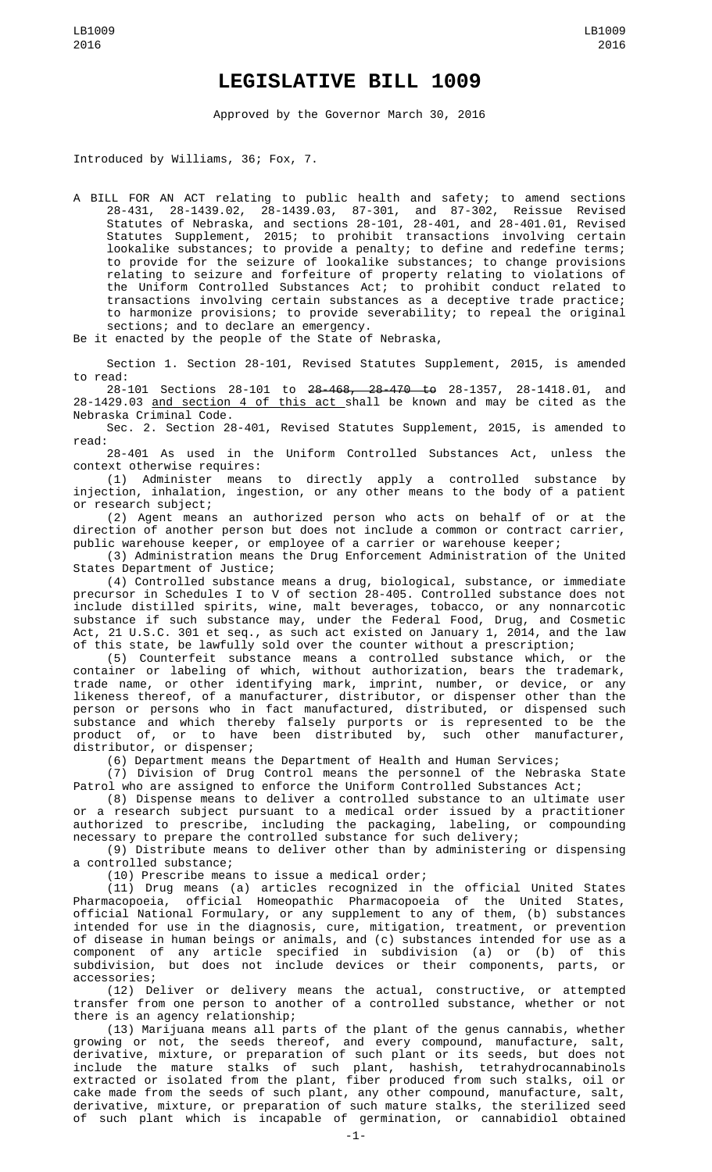## **LEGISLATIVE BILL 1009**

Approved by the Governor March 30, 2016

Introduced by Williams, 36; Fox, 7.

A BILL FOR AN ACT relating to public health and safety; to amend sections 28-431, 28-1439.02, 28-1439.03, 87-301, and 87-302, Reissue Revised Statutes of Nebraska, and sections 28-101, 28-401, and 28-401.01, Revised Statutes Supplement, 2015; to prohibit transactions involving certain lookalike substances; to provide a penalty; to define and redefine terms; to provide for the seizure of lookalike substances; to change provisions relating to seizure and forfeiture of property relating to violations of the Uniform Controlled Substances Act; to prohibit conduct related to transactions involving certain substances as a deceptive trade practice; to harmonize provisions; to provide severability; to repeal the original sections; and to declare an emergency.

Be it enacted by the people of the State of Nebraska,

Section 1. Section 28-101, Revised Statutes Supplement, 2015, is amended to read:

28-101 Sections 28-101 to 28-468, 28-470 to 28-1357, 28-1418.01, and 28-1429.03 and section 4 of this act shall be known and may be cited as the Nebraska Criminal Code.

Sec. 2. Section 28-401, Revised Statutes Supplement, 2015, is amended to read:

28-401 As used in the Uniform Controlled Substances Act, unless the context otherwise requires:

(1) Administer means to directly apply a controlled substance by injection, inhalation, ingestion, or any other means to the body of a patient or research subject;

(2) Agent means an authorized person who acts on behalf of or at the direction of another person but does not include a common or contract carrier, public warehouse keeper, or employee of a carrier or warehouse keeper;

(3) Administration means the Drug Enforcement Administration of the United States Department of Justice;

(4) Controlled substance means a drug, biological, substance, or immediate precursor in Schedules I to V of section 28-405. Controlled substance does not include distilled spirits, wine, malt beverages, tobacco, or any nonnarcotic substance if such substance may, under the Federal Food, Drug, and Cosmetic Act, 21 U.S.C. 301 et seq., as such act existed on January 1, 2014, and the law of this state, be lawfully sold over the counter without a prescription;

(5) Counterfeit substance means a controlled substance which, or the container or labeling of which, without authorization, bears the trademark, trade name, or other identifying mark, imprint, number, or device, or any likeness thereof, of a manufacturer, distributor, or dispenser other than the person or persons who in fact manufactured, distributed, or dispensed such substance and which thereby falsely purports or is represented to be the product of, or to have been distributed by, such other manufacturer, distributor, or dispenser;

(6) Department means the Department of Health and Human Services;

(7) Division of Drug Control means the personnel of the Nebraska State Patrol who are assigned to enforce the Uniform Controlled Substances Act;

(8) Dispense means to deliver a controlled substance to an ultimate user or a research subject pursuant to a medical order issued by a practitioner authorized to prescribe, including the packaging, labeling, or compounding necessary to prepare the controlled substance for such delivery;

(9) Distribute means to deliver other than by administering or dispensing a controlled substance;

(10) Prescribe means to issue a medical order;

(11) Drug means (a) articles recognized in the official United States Pharmacopoeia, official Homeopathic Pharmacopoeia of the United States, official National Formulary, or any supplement to any of them, (b) substances intended for use in the diagnosis, cure, mitigation, treatment, or prevention of disease in human beings or animals, and (c) substances intended for use as a component of any article specified in subdivision (a) or (b) of this subdivision, but does not include devices or their components, parts, or accessories;

(12) Deliver or delivery means the actual, constructive, or attempted transfer from one person to another of a controlled substance, whether or not there is an agency relationship;

(13) Marijuana means all parts of the plant of the genus cannabis, whether growing or not, the seeds thereof, and every compound, manufacture, salt, derivative, mixture, or preparation of such plant or its seeds, but does not include the mature stalks of such plant, hashish, tetrahydrocannabinols extracted or isolated from the plant, fiber produced from such stalks, oil or cake made from the seeds of such plant, any other compound, manufacture, salt, derivative, mixture, or preparation of such mature stalks, the sterilized seed of such plant which is incapable of germination, or cannabidiol obtained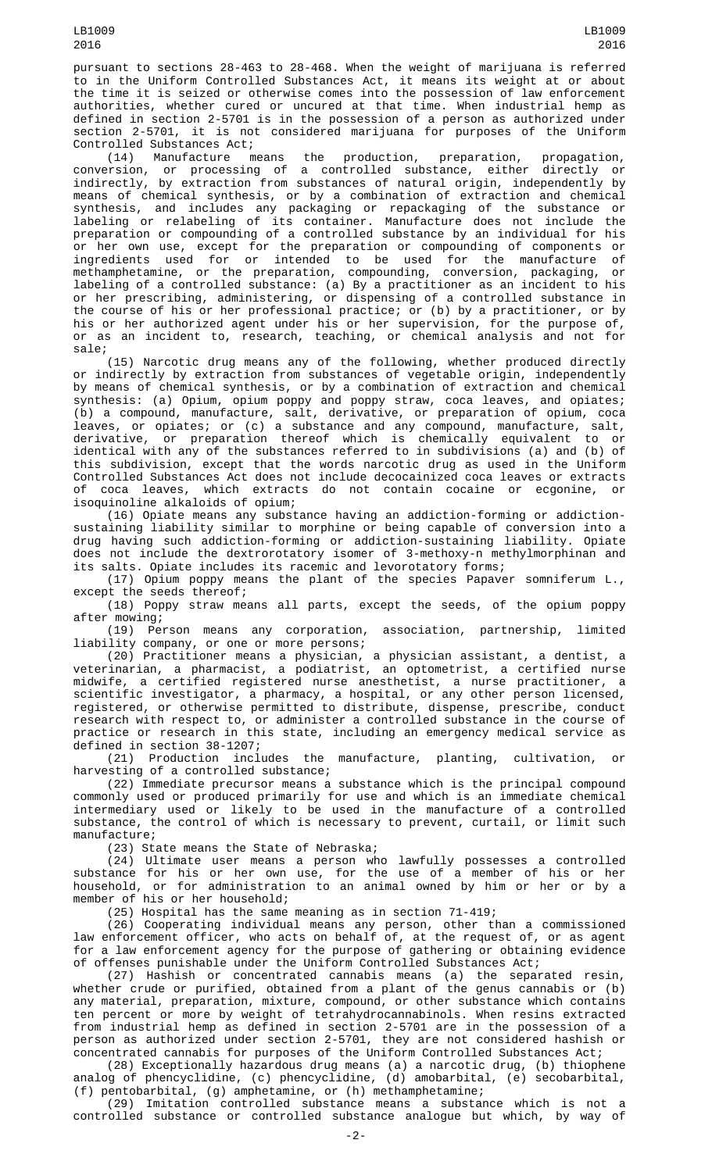pursuant to sections 28-463 to 28-468. When the weight of marijuana is referred to in the Uniform Controlled Substances Act, it means its weight at or about the time it is seized or otherwise comes into the possession of law enforcement authorities, whether cured or uncured at that time. When industrial hemp as defined in section 2-5701 is in the possession of a person as authorized under section 2-5701, it is not considered marijuana for purposes of the Uniform Controlled Substances Act;<br>(14) Manufacture means

(14) Manufacture means the production, preparation, propagation, conversion, or processing of a controlled substance, either directly or indirectly, by extraction from substances of natural origin, independently by means of chemical synthesis, or by a combination of extraction and chemical synthesis, and includes any packaging or repackaging of the substance or labeling or relabeling of its container. Manufacture does not include the preparation or compounding of a controlled substance by an individual for his or her own use, except for the preparation or compounding of components or ingredients used for or intended to be used for the manufacture of methamphetamine, or the preparation, compounding, conversion, packaging, or labeling of a controlled substance: (a) By a practitioner as an incident to his or her prescribing, administering, or dispensing of a controlled substance in the course of his or her professional practice; or (b) by a practitioner, or by his or her authorized agent under his or her supervision, for the purpose of, or as an incident to, research, teaching, or chemical analysis and not for sale;

(15) Narcotic drug means any of the following, whether produced directly or indirectly by extraction from substances of vegetable origin, independently by means of chemical synthesis, or by a combination of extraction and chemical synthesis: (a) Opium, opium poppy and poppy straw, coca leaves, and opiates; (b) a compound, manufacture, salt, derivative, or preparation of opium, coca leaves, or opiates; or (c) a substance and any compound, manufacture, salt, derivative, or preparation thereof which is chemically equivalent to or identical with any of the substances referred to in subdivisions (a) and (b) of this subdivision, except that the words narcotic drug as used in the Uniform Controlled Substances Act does not include decocainized coca leaves or extracts of coca leaves, which extracts do not contain cocaine or ecgonine, or isoquinoline alkaloids of opium;

(16) Opiate means any substance having an addiction-forming or addictionsustaining liability similar to morphine or being capable of conversion into a drug having such addiction-forming or addiction-sustaining liability. Opiate does not include the dextrorotatory isomer of 3-methoxy-n methylmorphinan and its salts. Opiate includes its racemic and levorotatory forms;

(17) Opium poppy means the plant of the species Papaver somniferum L., except the seeds thereof;

(18) Poppy straw means all parts, except the seeds, of the opium poppy after mowing;

(19) Person means any corporation, association, partnership, limited liability company, or one or more persons;

(20) Practitioner means a physician, a physician assistant, a dentist, a veterinarian, a pharmacist, a podiatrist, an optometrist, a certified nurse midwife, a certified registered nurse anesthetist, a nurse practitioner, a scientific investigator, a pharmacy, a hospital, or any other person licensed, registered, or otherwise permitted to distribute, dispense, prescribe, conduct research with respect to, or administer a controlled substance in the course of practice or research in this state, including an emergency medical service as defined in section 38-1207;

(21) Production includes the manufacture, planting, cultivation, or harvesting of a controlled substance;

(22) Immediate precursor means a substance which is the principal compound commonly used or produced primarily for use and which is an immediate chemical intermediary used or likely to be used in the manufacture of a controlled substance, the control of which is necessary to prevent, curtail, or limit such manufacture;

(23) State means the State of Nebraska;

(24) Ultimate user means a person who lawfully possesses a controlled substance for his or her own use, for the use of a member of his or her household, or for administration to an animal owned by him or her or by a member of his or her household;

(25) Hospital has the same meaning as in section 71-419;

(26) Cooperating individual means any person, other than a commissioned law enforcement officer, who acts on behalf of, at the request of, or as agent for a law enforcement agency for the purpose of gathering or obtaining evidence of offenses punishable under the Uniform Controlled Substances Act;

(27) Hashish or concentrated cannabis means (a) the separated resin, whether crude or purified, obtained from a plant of the genus cannabis or (b) any material, preparation, mixture, compound, or other substance which contains ten percent or more by weight of tetrahydrocannabinols. When resins extracted from industrial hemp as defined in section 2-5701 are in the possession of a person as authorized under section 2-5701, they are not considered hashish or concentrated cannabis for purposes of the Uniform Controlled Substances Act;

(28) Exceptionally hazardous drug means (a) a narcotic drug, (b) thiophene analog of phencyclidine, (c) phencyclidine, (d) amobarbital, (e) secobarbital, (f) pentobarbital, (g) amphetamine, or (h) methamphetamine;

(29) Imitation controlled substance means a substance which is not a controlled substance or controlled substance analogue but which, by way of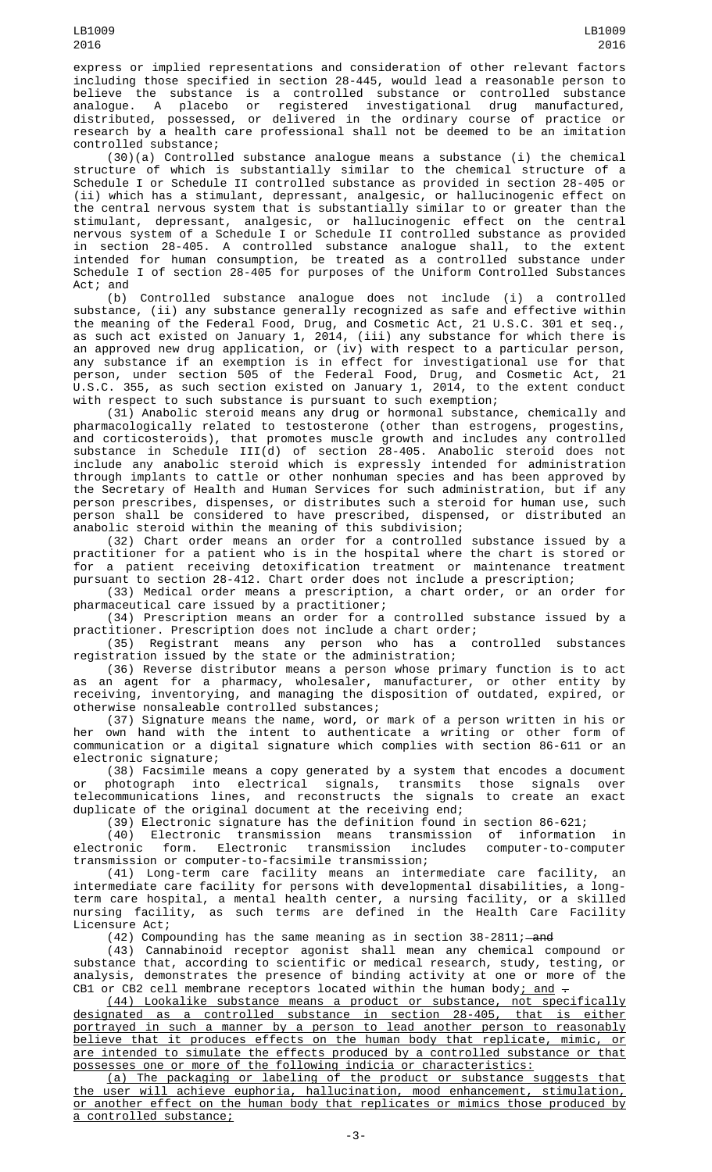express or implied representations and consideration of other relevant factors including those specified in section 28-445, would lead a reasonable person to believe the substance is a controlled substance or controlled substance analogue. A placebo or registered investigational drug manufactured, distributed, possessed, or delivered in the ordinary course of practice or research by a health care professional shall not be deemed to be an imitation controlled substance;

(30)(a) Controlled substance analogue means a substance (i) the chemical structure of which is substantially similar to the chemical structure of a Schedule I or Schedule II controlled substance as provided in section 28-405 or (ii) which has a stimulant, depressant, analgesic, or hallucinogenic effect on the central nervous system that is substantially similar to or greater than the stimulant, depressant, analgesic, or hallucinogenic effect on the central nervous system of a Schedule I or Schedule II controlled substance as provided in section 28-405. A controlled substance analogue shall, to the extent intended for human consumption, be treated as a controlled substance under Schedule I of section 28-405 for purposes of the Uniform Controlled Substances Act; and

(b) Controlled substance analogue does not include (i) a controlled substance, (ii) any substance generally recognized as safe and effective within the meaning of the Federal Food, Drug, and Cosmetic Act, 21 U.S.C. 301 et seq., as such act existed on January 1, 2014, (iii) any substance for which there is an approved new drug application, or (iv) with respect to a particular person, any substance if an exemption is in effect for investigational use for that person, under section 505 of the Federal Food, Drug, and Cosmetic Act, 21 U.S.C. 355, as such section existed on January 1, 2014, to the extent conduct with respect to such substance is pursuant to such exemption;

(31) Anabolic steroid means any drug or hormonal substance, chemically and pharmacologically related to testosterone (other than estrogens, progestins, and corticosteroids), that promotes muscle growth and includes any controlled substance in Schedule III(d) of section 28-405. Anabolic steroid does not include any anabolic steroid which is expressly intended for administration through implants to cattle or other nonhuman species and has been approved by the Secretary of Health and Human Services for such administration, but if any person prescribes, dispenses, or distributes such a steroid for human use, such person shall be considered to have prescribed, dispensed, or distributed an anabolic steroid within the meaning of this subdivision;

(32) Chart order means an order for a controlled substance issued by a practitioner for a patient who is in the hospital where the chart is stored or for a patient receiving detoxification treatment or maintenance treatment pursuant to section 28-412. Chart order does not include a prescription;

(33) Medical order means a prescription, a chart order, or an order for pharmaceutical care issued by a practitioner;

(34) Prescription means an order for a controlled substance issued by a practitioner. Prescription does not include a chart order;

(35) Registrant means any person who has a controlled substances registration issued by the state or the administration;

(36) Reverse distributor means a person whose primary function is to act as an agent for a pharmacy, wholesaler, manufacturer, or other entity by receiving, inventorying, and managing the disposition of outdated, expired, or otherwise nonsaleable controlled substances;

(37) Signature means the name, word, or mark of a person written in his or her own hand with the intent to authenticate a writing or other form of communication or a digital signature which complies with section 86-611 or an electronic signature;

(38) Facsimile means a copy generated by a system that encodes a document or photograph into electrical signals, transmits those signals over telecommunications lines, and reconstructs the signals to create an exact duplicate of the original document at the receiving end;

(39) Electronic signature has the definition found in section 86-621;

(40) Electronic transmission means transmission of information in electronic form. Electronic transmission includes computer-to-computer transmission or computer-to-facsimile transmission;

(41) Long-term care facility means an intermediate care facility, an intermediate care facility for persons with developmental disabilities, a longterm care hospital, a mental health center, a nursing facility, or a skilled nursing facility, as such terms are defined in the Health Care Facility Licensure Act;

 $(42)$  Compounding has the same meaning as in section  $38-2811$ ;  $-$ and

(43) Cannabinoid receptor agonist shall mean any chemical compound or substance that, according to scientific or medical research, study, testing, or analysis, demonstrates the presence of binding activity at one or more of the CB1 or CB2 cell membrane receptors located within the human body; and  $-$ 

(44) Lookalike substance means a product or substance, not specifically designated as a controlled substance in section 28-405, that is either portrayed in such a manner by a person to lead another person to reasonably believe that it produces effects on the human body that replicate, mimic, or are intended to simulate the effects produced by a controlled substance or that possesses one or more of the following indicia or characteristics:

(a) The packaging or labeling of the product or substance suggests that the user will achieve euphoria, hallucination, mood enhancement, stimulation, or another effect on the human body that replicates or mimics those produced by a controlled substance;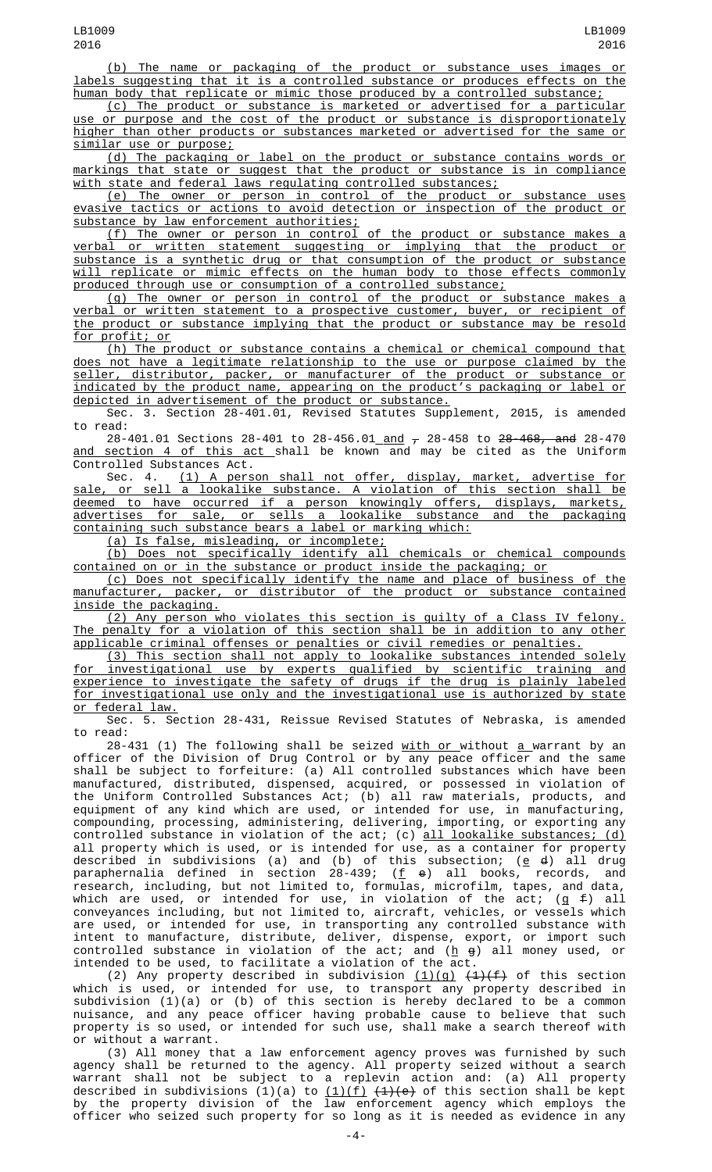(b) The name or packaging of the product or substance uses images or labels suggesting that it is a controlled substance or produces effects on the human body that replicate or mimic those produced by a controlled substance;

(c) The product or substance is marketed or advertised for a particular use or purpose and the cost of the product or substance is disproportionately higher than other products or substances marketed or advertised for the same or similar use or purpose;

(d) The packaging or label on the product or substance contains words or markings that state or suggest that the product or substance is in compliance with state and federal laws regulating controlled substances;

(e) The owner or person in control of the product or substance uses evasive tactics or actions to avoid detection or inspection of the product or substance by law enforcement authorities;

(f) The owner or person in control of the product or substance makes a verbal or written statement suggesting or implying that the product or substance is a synthetic drug or that consumption of the product or substance will replicate or mimic effects on the human body to those effects commonly produced through use or consumption of a controlled substance;

(g) The owner or person in control of the product or substance makes a verbal or written statement to a prospective customer, buyer, or recipient of the product or substance implying that the product or substance may be resold for profit; or

(h) The product or substance contains a chemical or chemical compound that does not have a legitimate relationship to the use or purpose claimed by the seller, distributor, packer, or manufacturer of the product or substance or indicated by the product name, appearing on the product's packaging or label or depicted in advertisement of the product or substance.

Sec. 3. Section 28-401.01, Revised Statutes Supplement, 2015, is amended to read:

28-401.01 Sections 28-401 to 28-456.01<u> and</u>  $_{\mathcal{T}}$  28-458 to <del>28-468, and</del> 28-470 <u>and section 4 of this act shall</u> be known and may be cited as the Uniform Controlled Substances Act.

Sec. 4. (1) A person shall not offer, display, market, advertise for sale, or sell a lookalike substance. A violation of this section shall be deemed to have occurred if a person knowingly offers, displays, markets, advertises for sale, or sells a lookalike substance and the packaging containing such substance bears a label or marking which:

(a) Is false, misleading, or incomplete;

(b) Does not specifically identify all chemicals or chemical compounds contained on or in the substance or product inside the packaging; or

(c) Does not specifically identify the name and place of business of the manufacturer, packer, or distributor of the product or substance contained inside the packaging.

(2) Any person who violates this section is guilty of a Class IV felony. The penalty for a violation of this section shall be in addition to any other applicable criminal offenses or penalties or civil remedies or penalties.

(3) This section shall not apply to lookalike substances intended solely for investigational use by experts qualified by scientific training and experience to investigate the safety of drugs if the drug is plainly labeled for investigational use only and the investigational use is authorized by state or federal law.

Sec. 5. Section 28-431, Reissue Revised Statutes of Nebraska, is amended

to read:<br>28-431 (1) The following shall be seized <u>with or w</u>ithout <u>a w</u>arrant by an 28-431 (1) The following shall be seized <u>with or </u>without <u>a </u>warrant by an officer of the Division of Drug Control or by any peace officer and the same shall be subject to forfeiture: (a) All controlled substances which have been manufactured, distributed, dispensed, acquired, or possessed in violation of the Uniform Controlled Substances Act; (b) all raw materials, products, and equipment of any kind which are used, or intended for use, in manufacturing, compounding, processing, administering, delivering, importing, or exporting any controlled substance in violation of the act; (c) <u>all lookalike substances; (d)</u> all property which is used, or is intended for use, as a container for property described in subdivisions (a) and (b) of this subsection; (<u>e</u> <del>d</del>) all drug paraphernalia defined in section 28-439; (<u>f</u> e) all books, records, and research, including, but not limited to, formulas, microfilm, tapes, and data, which are used, or intended for use, in violation of the act; (g  $\text{\textsterling}\,$  all conveyances including, but not limited to, aircraft, vehicles, or vessels which are used, or intended for use, in transporting any controlled substance with intent to manufacture, distribute, deliver, dispense, export, or import such controlled substance in violation of the act; and (<u>h</u>  $\mathfrak g$ ) all money used, or intended to be used, to facilitate a violation of the act.

(2) Any property described in subdivision  $(1)(g)$   $(4)(f)$  of this section which is used, or intended for use, to transport any property described in subdivision (1)(a) or (b) of this section is hereby declared to be a common nuisance, and any peace officer having probable cause to believe that such property is so used, or intended for such use, shall make a search thereof with or without a warrant.

(3) All money that a law enforcement agency proves was furnished by such agency shall be returned to the agency. All property seized without a search warrant shall not be subject to a replevin action and: (a) All property described in subdivisions (1)(a) to <u>(1)(f)</u> <del>(1)(e)</del> of this section shall be kept by the property division of the law enforcement agency which employs the officer who seized such property for so long as it is needed as evidence in any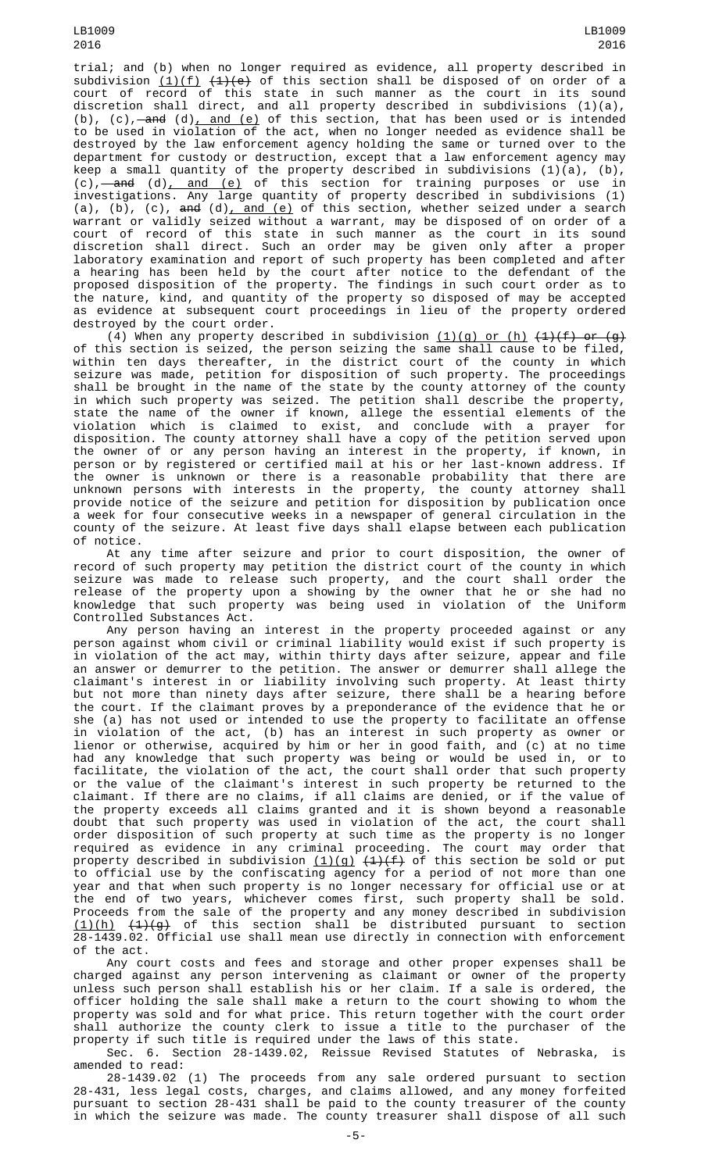trial; and (b) when no longer required as evidence, all property described in subdivision <u>(1)(f)</u> <del>(1)(e)</del> of this section shall be disposed of on order of a court of record of this state in such manner as the court in its sound discretion shall direct, and all property described in subdivisions (1)(a), (b), (c),—a<del>nd</del> (d)<u>, and (e)</u> of this section, that has been used or is intended to be used in violation of the act, when no longer needed as evidence shall be destroyed by the law enforcement agency holding the same or turned over to the department for custody or destruction, except that a law enforcement agency may keep a small quantity of the property described in subdivisions (1)(a), (b), (c),—<del>and</del> (d)<u>, and (e)</u> of this section for training purposes or use in investigations. Any large quantity of property described in subdivisions (1) (a), (b), (c), <del>and</del> (d)<u>, and (e)</u> of this section, whether seized under a search warrant or validly seized without a warrant, may be disposed of on order of a court of record of this state in such manner as the court in its sound discretion shall direct. Such an order may be given only after a proper laboratory examination and report of such property has been completed and after a hearing has been held by the court after notice to the defendant of the proposed disposition of the property. The findings in such court order as to the nature, kind, and quantity of the property so disposed of may be accepted as evidence at subsequent court proceedings in lieu of the property ordered destroyed by the court order.

(4) When any property described in subdivision  $(1)(g)$  or  $(h)$   $(1)(f)$  or  $(g)$ of this section is seized, the person seizing the same shall cause to be filed, within ten days thereafter, in the district court of the county in which seizure was made, petition for disposition of such property. The proceedings shall be brought in the name of the state by the county attorney of the county in which such property was seized. The petition shall describe the property, state the name of the owner if known, allege the essential elements of the violation which is claimed to exist, and conclude with a prayer for disposition. The county attorney shall have a copy of the petition served upon the owner of or any person having an interest in the property, if known, in person or by registered or certified mail at his or her last-known address. If the owner is unknown or there is a reasonable probability that there are unknown persons with interests in the property, the county attorney shall provide notice of the seizure and petition for disposition by publication once a week for four consecutive weeks in a newspaper of general circulation in the county of the seizure. At least five days shall elapse between each publication of notice.

At any time after seizure and prior to court disposition, the owner of record of such property may petition the district court of the county in which seizure was made to release such property, and the court shall order the release of the property upon a showing by the owner that he or she had no knowledge that such property was being used in violation of the Uniform Controlled Substances Act.

Any person having an interest in the property proceeded against or any person against whom civil or criminal liability would exist if such property is in violation of the act may, within thirty days after seizure, appear and file an answer or demurrer to the petition. The answer or demurrer shall allege the claimant's interest in or liability involving such property. At least thirty but not more than ninety days after seizure, there shall be a hearing before the court. If the claimant proves by a preponderance of the evidence that he or she (a) has not used or intended to use the property to facilitate an offense in violation of the act, (b) has an interest in such property as owner or lienor or otherwise, acquired by him or her in good faith, and (c) at no time had any knowledge that such property was being or would be used in, or to facilitate, the violation of the act, the court shall order that such property or the value of the claimant's interest in such property be returned to the claimant. If there are no claims, if all claims are denied, or if the value of the property exceeds all claims granted and it is shown beyond a reasonable doubt that such property was used in violation of the act, the court shall order disposition of such property at such time as the property is no longer required as evidence in any criminal proceeding. The court may order that property described in subdivision <u>(1)(g)</u> <del>(1)(f)</del> of this section be sold or put to official use by the confiscating agency for a period of not more than one year and that when such property is no longer necessary for official use or at the end of two years, whichever comes first, such property shall be sold. Proceeds from the sale of the property and any money described in subdivision  $(1)(h)$   $(1)(g)$  of this section shall be distributed pursuant to section 28-1439.02. Official use shall mean use directly in connection with enforcement of the act.

Any court costs and fees and storage and other proper expenses shall be charged against any person intervening as claimant or owner of the property unless such person shall establish his or her claim. If a sale is ordered, the officer holding the sale shall make a return to the court showing to whom the property was sold and for what price. This return together with the court order shall authorize the county clerk to issue a title to the purchaser of the property if such title is required under the laws of this state.

Sec. 6. Section 28-1439.02, Reissue Revised Statutes of Nebraska, is amended to read:

28-1439.02 (1) The proceeds from any sale ordered pursuant to section 28-431, less legal costs, charges, and claims allowed, and any money forfeited pursuant to section 28-431 shall be paid to the county treasurer of the county in which the seizure was made. The county treasurer shall dispose of all such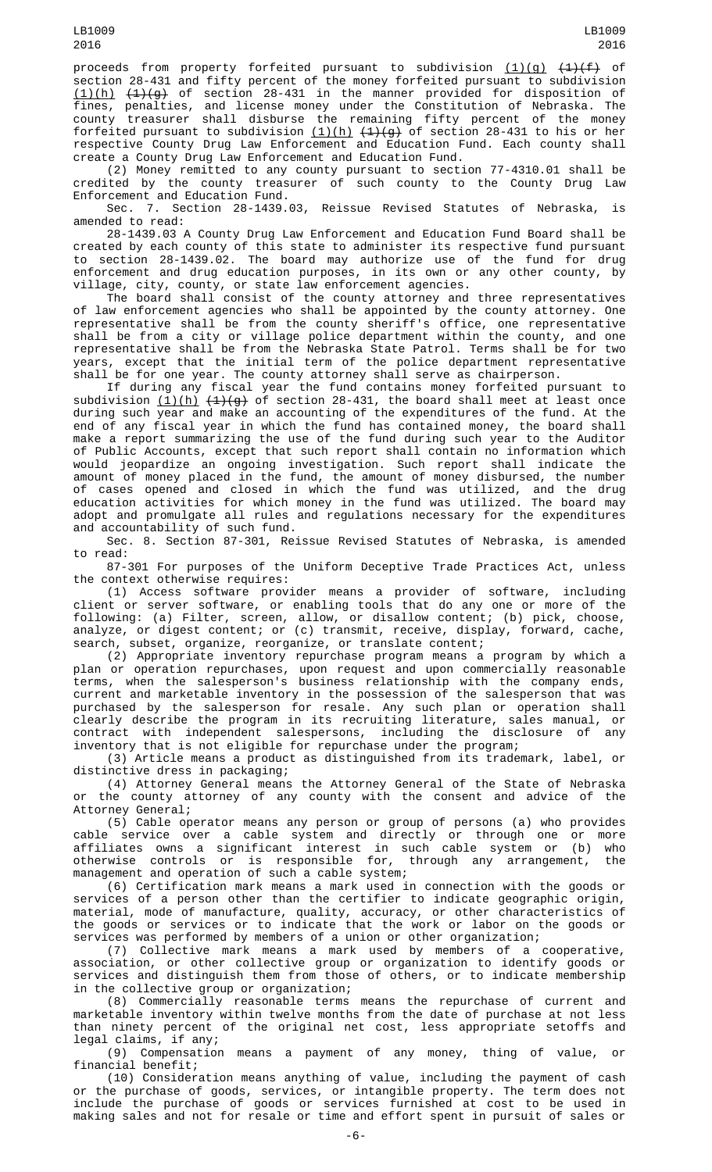proceeds from property forfeited pursuant to subdivision <u>(1)(g)</u> <del>(1)(f)</del> of section 28-431 and fifty percent of the money forfeited pursuant to subdivision  $(1)(h)$   $(4)(g)$  of section 28-431 in the manner provided for disposition of fines, penalties, and license money under the Constitution of Nebraska. The county treasurer shall disburse the remaining fifty percent of the money forfeited pursuant to subdivision <u>(1)(h)</u> <del>(1)(g)</del> of section 28-431 to his or her respective County Drug Law Enforcement and Education Fund. Each county shall create a County Drug Law Enforcement and Education Fund.

(2) Money remitted to any county pursuant to section 77-4310.01 shall be credited by the county treasurer of such county to the County Drug Law Enforcement and Education Fund.

Sec. 7. Section 28-1439.03, Reissue Revised Statutes of Nebraska, is amended to read:

28-1439.03 A County Drug Law Enforcement and Education Fund Board shall be created by each county of this state to administer its respective fund pursuant to section 28-1439.02. The board may authorize use of the fund for drug enforcement and drug education purposes, in its own or any other county, by village, city, county, or state law enforcement agencies.

The board shall consist of the county attorney and three representatives of law enforcement agencies who shall be appointed by the county attorney. One representative shall be from the county sheriff's office, one representative shall be from a city or village police department within the county, and one representative shall be from the Nebraska State Patrol. Terms shall be for two years, except that the initial term of the police department representative shall be for one year. The county attorney shall serve as chairperson.

If during any fiscal year the fund contains money forfeited pursuant to subdivision <u>(1)(h)</u>  $(4)(g)$  of section 28-431, the board shall meet at least once during such year and make an accounting of the expenditures of the fund. At the end of any fiscal year in which the fund has contained money, the board shall make a report summarizing the use of the fund during such year to the Auditor of Public Accounts, except that such report shall contain no information which would jeopardize an ongoing investigation. Such report shall indicate the amount of money placed in the fund, the amount of money disbursed, the number of cases opened and closed in which the fund was utilized, and the drug education activities for which money in the fund was utilized. The board may adopt and promulgate all rules and regulations necessary for the expenditures and accountability of such fund.

Sec. 8. Section 87-301, Reissue Revised Statutes of Nebraska, is amended to read:

87-301 For purposes of the Uniform Deceptive Trade Practices Act, unless the context otherwise requires:

(1) Access software provider means a provider of software, including client or server software, or enabling tools that do any one or more of the following: (a) Filter, screen, allow, or disallow content; (b) pick, choose, analyze, or digest content; or (c) transmit, receive, display, forward, cache, search, subset, organize, reorganize, or translate content;

(2) Appropriate inventory repurchase program means a program by which a plan or operation repurchases, upon request and upon commercially reasonable terms, when the salesperson's business relationship with the company ends, current and marketable inventory in the possession of the salesperson that was purchased by the salesperson for resale. Any such plan or operation shall clearly describe the program in its recruiting literature, sales manual, or contract with independent salespersons, including the disclosure of any inventory that is not eligible for repurchase under the program;

(3) Article means a product as distinguished from its trademark, label, or distinctive dress in packaging;

(4) Attorney General means the Attorney General of the State of Nebraska or the county attorney of any county with the consent and advice of the Attorney General;

(5) Cable operator means any person or group of persons (a) who provides cable service over a cable system and directly or through one or more affiliates owns a significant interest in such cable system or (b) who otherwise controls or is responsible for, through any arrangement, the management and operation of such a cable system;

(6) Certification mark means a mark used in connection with the goods or services of a person other than the certifier to indicate geographic origin, material, mode of manufacture, quality, accuracy, or other characteristics of the goods or services or to indicate that the work or labor on the goods or services was performed by members of a union or other organization;

(7) Collective mark means a mark used by members of a cooperative, association, or other collective group or organization to identify goods or services and distinguish them from those of others, or to indicate membership in the collective group or organization;

(8) Commercially reasonable terms means the repurchase of current and marketable inventory within twelve months from the date of purchase at not less than ninety percent of the original net cost, less appropriate setoffs and legal claims, if any;

(9) Compensation means a payment of any money, thing of value, or financial benefit;

(10) Consideration means anything of value, including the payment of cash or the purchase of goods, services, or intangible property. The term does not include the purchase of goods or services furnished at cost to be used in making sales and not for resale or time and effort spent in pursuit of sales or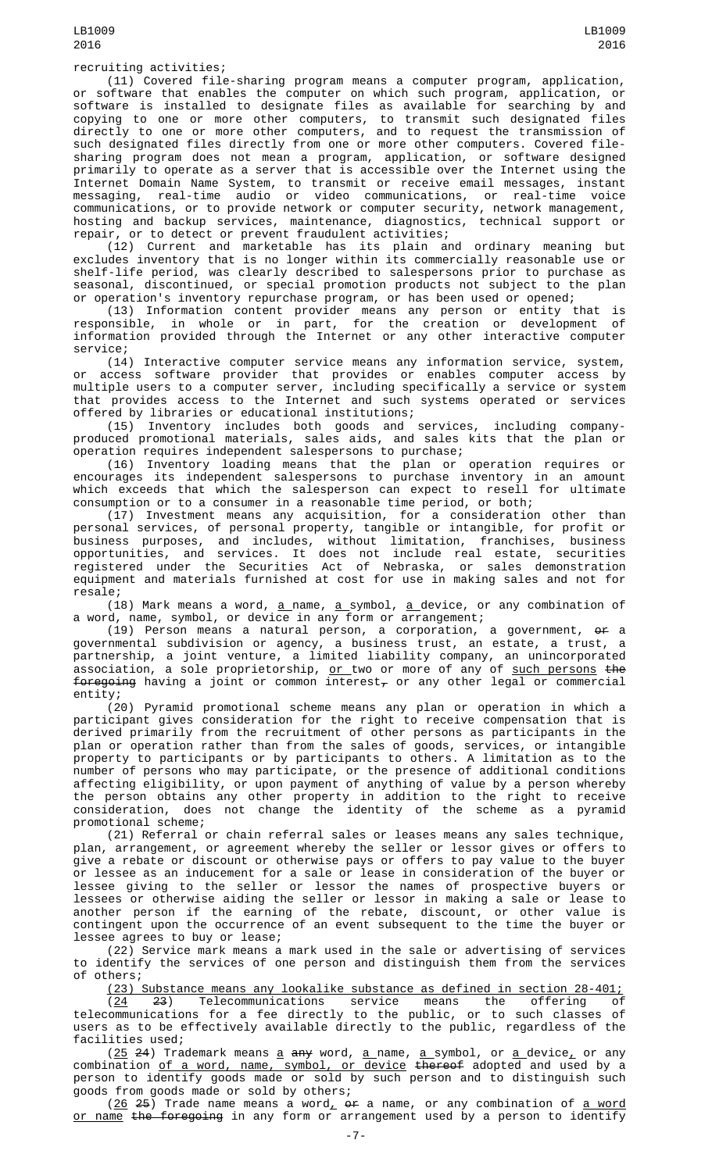(11) Covered file-sharing program means a computer program, application, or software that enables the computer on which such program, application, or software is installed to designate files as available for searching by and copying to one or more other computers, to transmit such designated files directly to one or more other computers, and to request the transmission of such designated files directly from one or more other computers. Covered filesharing program does not mean a program, application, or software designed primarily to operate as a server that is accessible over the Internet using the Internet Domain Name System, to transmit or receive email messages, instant messaging, real-time audio or video communications, or real-time voice communications, or to provide network or computer security, network management, hosting and backup services, maintenance, diagnostics, technical support or repair, or to detect or prevent fraudulent activities;

(12) Current and marketable has its plain and ordinary meaning but excludes inventory that is no longer within its commercially reasonable use or shelf-life period, was clearly described to salespersons prior to purchase as seasonal, discontinued, or special promotion products not subject to the plan or operation's inventory repurchase program, or has been used or opened;

(13) Information content provider means any person or entity that is responsible, in whole or in part, for the creation or development of information provided through the Internet or any other interactive computer service;

(14) Interactive computer service means any information service, system, or access software provider that provides or enables computer access by multiple users to a computer server, including specifically a service or system that provides access to the Internet and such systems operated or services offered by libraries or educational institutions;

(15) Inventory includes both goods and services, including companyproduced promotional materials, sales aids, and sales kits that the plan or operation requires independent salespersons to purchase;

(16) Inventory loading means that the plan or operation requires or encourages its independent salespersons to purchase inventory in an amount which exceeds that which the salesperson can expect to resell for ultimate consumption or to a consumer in a reasonable time period, or both;

(17) Investment means any acquisition, for a consideration other than personal services, of personal property, tangible or intangible, for profit or business purposes, and includes, without limitation, franchises, business opportunities, and services. It does not include real estate, securities registered under the Securities Act of Nebraska, or sales demonstration equipment and materials furnished at cost for use in making sales and not for resale;

(18) Mark means a word, <u>a </u>name, <u>a symbol, a d</u>evice, or any combination of a word, name, symbol, or device in any form or arrangement;

(19) Person means a natural person, a corporation, a government, or a governmental subdivision or agency, a business trust, an estate, a trust, a partnership, a joint venture, a limited liability company, an unincorporated association, a sole proprietorship, <u>or two or more of any of such persons</u> <del>the</del> foregoing having a joint or common interest $_\tau$  or any other legal or commercial entity;

(20) Pyramid promotional scheme means any plan or operation in which a participant gives consideration for the right to receive compensation that is derived primarily from the recruitment of other persons as participants in the plan or operation rather than from the sales of goods, services, or intangible property to participants or by participants to others. A limitation as to the number of persons who may participate, or the presence of additional conditions affecting eligibility, or upon payment of anything of value by a person whereby the person obtains any other property in addition to the right to receive consideration, does not change the identity of the scheme as a pyramid promotional scheme;

(21) Referral or chain referral sales or leases means any sales technique, plan, arrangement, or agreement whereby the seller or lessor gives or offers to give a rebate or discount or otherwise pays or offers to pay value to the buyer or lessee as an inducement for a sale or lease in consideration of the buyer or lessee giving to the seller or lessor the names of prospective buyers or lessees or otherwise aiding the seller or lessor in making a sale or lease to another person if the earning of the rebate, discount, or other value is contingent upon the occurrence of an event subsequent to the time the buyer or lessee agrees to buy or lease;

(22) Service mark means a mark used in the sale or advertising of services to identify the services of one person and distinguish them from the services of others;

(23) Substance means any lookalike substance as defined in section 28-401;

(24 23) Telecommunications service means the offering of telecommunications for a fee directly to the public, or to such classes of users as to be effectively available directly to the public, regardless of the facilities used;

(<u>25</u> <del>2</del>4) Trademark means <u>a</u> a<del>ny</del> word, <u>a n</u>ame, <u>a s</u>ymbol, or <u>a device,</u> or any combination of a word, name, symbol, or device thereof adopted and used by a person to identify goods made or sold by such person and to distinguish such goods from goods made or sold by others;

(<u>26</u> <del>25</del>) Trade name means a word<u>,</u> or a name, or any combination of <u>a word</u> <u>or name</u> <del>the foregoing</del> in any form or arrangement used by a person to identify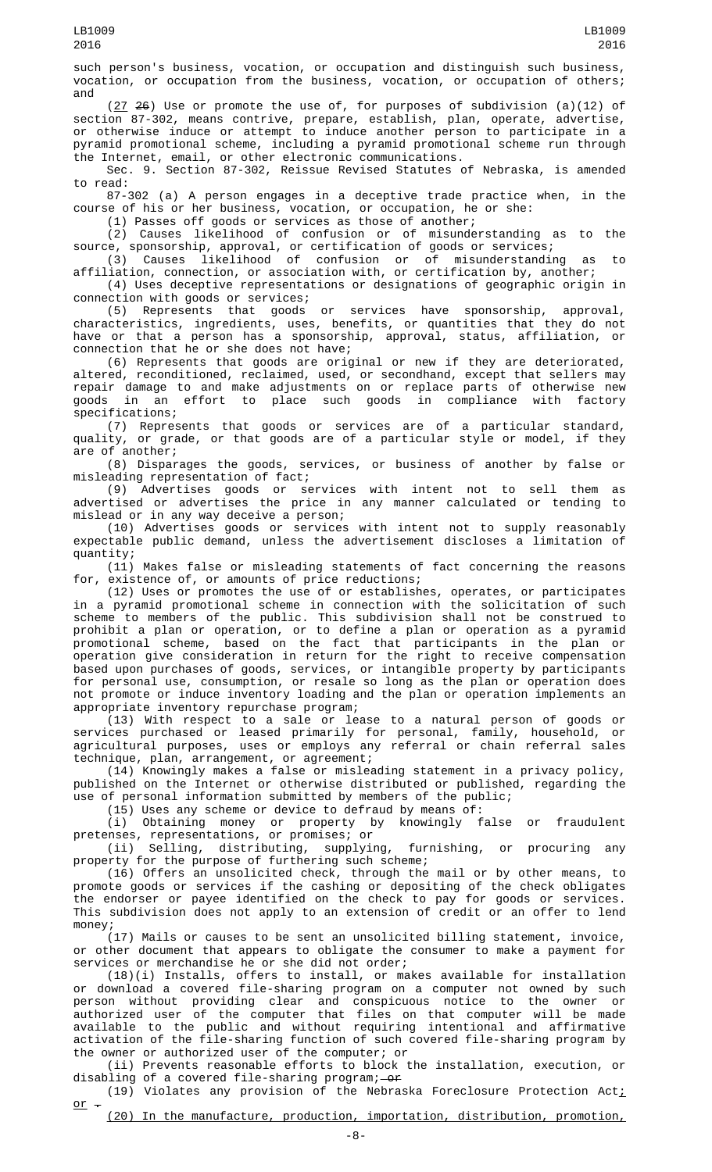such person's business, vocation, or occupation and distinguish such business, vocation, or occupation from the business, vocation, or occupation of others; and

 $(27, 26)$  Use or promote the use of, for purposes of subdivision  $(a)(12)$  of section 87-302, means contrive, prepare, establish, plan, operate, advertise, or otherwise induce or attempt to induce another person to participate in a pyramid promotional scheme, including a pyramid promotional scheme run through the Internet, email, or other electronic communications.

Sec. 9. Section 87-302, Reissue Revised Statutes of Nebraska, is amended to read:

87-302 (a) A person engages in a deceptive trade practice when, in the course of his or her business, vocation, or occupation, he or she:

(1) Passes off goods or services as those of another;

(2) Causes likelihood of confusion or of misunderstanding as to the source, sponsorship, approval, or certification of goods or services;

(3) Causes likelihood of confusion or of misunderstanding as to

affiliation, connection, or association with, or certification by, another; (4) Uses deceptive representations or designations of geographic origin in connection with goods or services;

(5) Represents that goods or services have sponsorship, approval, characteristics, ingredients, uses, benefits, or quantities that they do not have or that a person has a sponsorship, approval, status, affiliation, or connection that he or she does not have;

(6) Represents that goods are original or new if they are deteriorated, altered, reconditioned, reclaimed, used, or secondhand, except that sellers may repair damage to and make adjustments on or replace parts of otherwise new goods in an effort to place such goods in compliance with factory specifications;

(7) Represents that goods or services are of a particular standard, quality, or grade, or that goods are of a particular style or model, if they are of another;

(8) Disparages the goods, services, or business of another by false or misleading representation of fact;

(9) Advertises goods or services with intent not to sell them as advertised or advertises the price in any manner calculated or tending to mislead or in any way deceive a person;

(10) Advertises goods or services with intent not to supply reasonably expectable public demand, unless the advertisement discloses a limitation of quantity;

(11) Makes false or misleading statements of fact concerning the reasons for, existence of, or amounts of price reductions;

(12) Uses or promotes the use of or establishes, operates, or participates in a pyramid promotional scheme in connection with the solicitation of such scheme to members of the public. This subdivision shall not be construed to prohibit a plan or operation, or to define a plan or operation as a pyramid promotional scheme, based on the fact that participants in the plan or operation give consideration in return for the right to receive compensation based upon purchases of goods, services, or intangible property by participants for personal use, consumption, or resale so long as the plan or operation does not promote or induce inventory loading and the plan or operation implements an appropriate inventory repurchase program;

(13) With respect to a sale or lease to a natural person of goods or services purchased or leased primarily for personal, family, household, or agricultural purposes, uses or employs any referral or chain referral sales technique, plan, arrangement, or agreement;

(14) Knowingly makes a false or misleading statement in a privacy policy, published on the Internet or otherwise distributed or published, regarding the use of personal information submitted by members of the public;

(15) Uses any scheme or device to defraud by means of:<br>(i) Obtaining money or property by knowingly false or fraudulent (i) Obtaining money or property by knowingly false or fraudulent pretenses, representations, or promises; or

(ii) Selling, distributing, supplying, furnishing, or procuring any property for the purpose of furthering such scheme;

(16) Offers an unsolicited check, through the mail or by other means, to promote goods or services if the cashing or depositing of the check obligates the endorser or payee identified on the check to pay for goods or services. This subdivision does not apply to an extension of credit or an offer to lend money;

(17) Mails or causes to be sent an unsolicited billing statement, invoice, or other document that appears to obligate the consumer to make a payment for services or merchandise he or she did not order;

(18)(i) Installs, offers to install, or makes available for installation or download a covered file-sharing program on a computer not owned by such person without providing clear and conspicuous notice to the owner or authorized user of the computer that files on that computer will be made available to the public and without requiring intentional and affirmative activation of the file-sharing function of such covered file-sharing program by the owner or authorized user of the computer; or

(ii) Prevents reasonable efforts to block the installation, execution, or disabling of a covered file-sharing program;—<del>or</del>

(19) Violates any provision of the Nebraska Foreclosure Protection Act<u>;</u> or  $-$ 

(20) In the manufacture, production, importation, distribution, promotion,